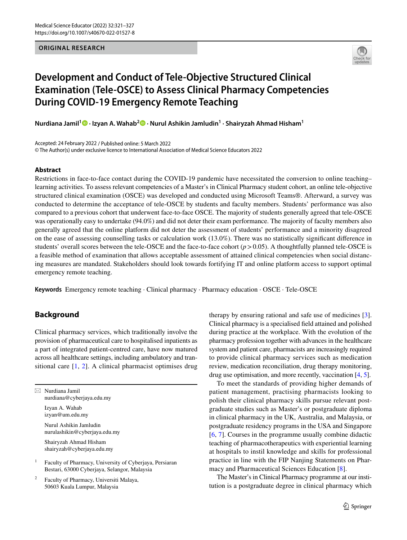### **ORIGINAL RESEARCH**



# **Development and Conduct of Tele‑Objective Structured Clinical Examination (Tele‑OSCE) to Assess Clinical Pharmacy Competencies During COVID‑19 Emergency Remote Teaching**

**Nurdiana Jamil1 · Izyan A. Wahab2 · Nurul Ashikin Jamludin1 · Shairyzah Ahmad Hisham1**

Accepted: 24 February 2022 / Published online: 5 March 2022 © The Author(s) under exclusive licence to International Association of Medical Science Educators 2022

#### **Abstract**

Restrictions in face-to-face contact during the COVID-19 pandemic have necessitated the conversion to online teaching– learning activities. To assess relevant competencies of a Master's in Clinical Pharmacy student cohort, an online tele-objective structured clinical examination (OSCE) was developed and conducted using Microsoft Teams®. Afterward, a survey was conducted to determine the acceptance of tele-OSCE by students and faculty members. Students' performance was also compared to a previous cohort that underwent face-to-face OSCE. The majority of students generally agreed that tele-OSCE was operationally easy to undertake (94.0%) and did not deter their exam performance. The majority of faculty members also generally agreed that the online platform did not deter the assessment of students' performance and a minority disagreed on the ease of assessing counselling tasks or calculation work (13.0%). There was no statistically signifcant diference in students' overall scores between the tele-OSCE and the face-to-face cohort (*p*>0.05). A thoughtfully planned tele-OSCE is a feasible method of examination that allows acceptable assessment of attained clinical competencies when social distancing measures are mandated. Stakeholders should look towards fortifying IT and online platform access to support optimal emergency remote teaching.

**Keywords** Emergency remote teaching · Clinical pharmacy · Pharmacy education · OSCE · Tele-OSCE

# **Background**

Clinical pharmacy services, which traditionally involve the provision of pharmaceutical care to hospitalised inpatients as a part of integrated patient-centred care, have now matured across all healthcare settings, including ambulatory and transitional care [[1,](#page-6-0) [2\]](#page-6-1). A clinical pharmacist optimises drug

 $\boxtimes$  Nurdiana Jamil nurdiana@cyberjaya.edu.my Izyan A. Wahab izyan@um.edu.my Nurul Ashikin Jamludin

nurulashikin@cyberjaya.edu.my

Shairyzah Ahmad Hisham shairyzah@cyberjaya.edu.my

<sup>1</sup> Faculty of Pharmacy, University of Cyberjaya, Persiaran Bestari, 63000 Cyberjaya, Selangor, Malaysia

Faculty of Pharmacy, Universiti Malaya, 50603 Kuala Lumpur, Malaysia

therapy by ensuring rational and safe use of medicines [\[3](#page-6-2)]. Clinical pharmacy is a specialised feld attained and polished during practice at the workplace. With the evolution of the pharmacy profession together with advances in the healthcare system and patient care, pharmacists are increasingly required to provide clinical pharmacy services such as medication review, medication reconciliation, drug therapy monitoring, drug use optimisation, and more recently, vaccination [[4,](#page-6-3) [5](#page-6-4)].

To meet the standards of providing higher demands of patient management, practising pharmacists looking to polish their clinical pharmacy skills pursue relevant postgraduate studies such as Master's or postgraduate diploma in clinical pharmacy in the UK, Australia, and Malaysia, or postgraduate residency programs in the USA and Singapore [[6,](#page-6-5) [7\]](#page-6-6). Courses in the programme usually combine didactic teaching of pharmacotherapeutics with experiential learning at hospitals to instil knowledge and skills for professional practice in line with the FIP Nanjing Statements on Pharmacy and Pharmaceutical Sciences Education [[8](#page-6-7)].

The Master's in Clinical Pharmacy programme at our institution is a postgraduate degree in clinical pharmacy which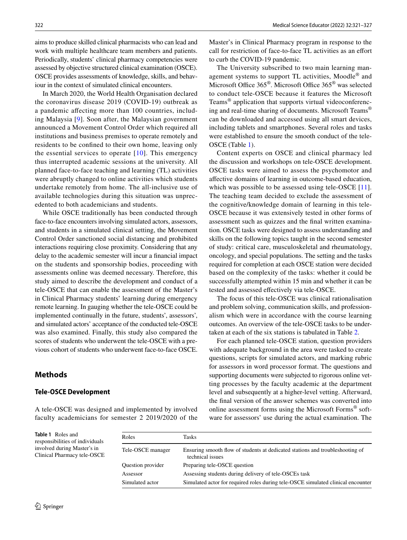aims to produce skilled clinical pharmacists who can lead and work with multiple healthcare team members and patients. Periodically, students' clinical pharmacy competencies were assessed by objective structured clinical examination (OSCE). OSCE provides assessments of knowledge, skills, and behaviour in the context of simulated clinical encounters.

In March 2020, the World Health Organisation declared the coronavirus disease 2019 (COVID-19) outbreak as a pandemic afecting more than 100 countries, including Malaysia [\[9\]](#page-6-8). Soon after, the Malaysian government announced a Movement Control Order which required all institutions and business premises to operate remotely and residents to be confned to their own home, leaving only the essential services to operate  $[10]$  $[10]$ . This emergency thus interrupted academic sessions at the university. All planned face-to-face teaching and learning (TL) activities were abruptly changed to online activities which students undertake remotely from home. The all-inclusive use of available technologies during this situation was unprecedented to both academicians and students.

While OSCE traditionally has been conducted through face-to-face encounters involving simulated actors, assessors, and students in a simulated clinical setting, the Movement Control Order sanctioned social distancing and prohibited interactions requiring close proximity. Considering that any delay to the academic semester will incur a fnancial impact on the students and sponsorship bodies, proceeding with assessments online was deemed necessary. Therefore, this study aimed to describe the development and conduct of a tele-OSCE that can enable the assessment of the Master's in Clinical Pharmacy students' learning during emergency remote learning. In gauging whether the tele-OSCE could be implemented continually in the future, students', assessors', and simulated actors' acceptance of the conducted tele-OSCE was also examined. Finally, this study also compared the scores of students who underwent the tele-OSCE with a previous cohort of students who underwent face-to-face OSCE.

## **Methods**

#### **Tele‑OSCE Development**

A tele-OSCE was designed and implemented by involved faculty academicians for semester 2 2019/2020 of the Master's in Clinical Pharmacy program in response to the call for restriction of face-to-face TL activities as an efort to curb the COVID-19 pandemic.

The University subscribed to two main learning management systems to support TL activities, Moodle® and Microsoft Office  $365^{\circ}$ . Microsoft Office  $365^{\circ}$  was selected to conduct tele-OSCE because it features the Microsoft Teams® application that supports virtual videoconferencing and real-time sharing of documents. Microsoft Teams® can be downloaded and accessed using all smart devices, including tablets and smartphones. Several roles and tasks were established to ensure the smooth conduct of the tele-OSCE (Table [1\)](#page-1-0).

Content experts on OSCE and clinical pharmacy led the discussion and workshops on tele-OSCE development. OSCE tasks were aimed to assess the psychomotor and afective domains of learning in outcome-based education, which was possible to be assessed using tele-OSCE [[11](#page-6-10)]. The teaching team decided to exclude the assessment of the cognitive/knowledge domain of learning in this tele-OSCE because it was extensively tested in other forms of assessment such as quizzes and the fnal written examination. OSCE tasks were designed to assess understanding and skills on the following topics taught in the second semester of study: critical care, musculoskeletal and rheumatology, oncology, and special populations. The setting and the tasks required for completion at each OSCE station were decided based on the complexity of the tasks: whether it could be successfully attempted within 15 min and whether it can be tested and assessed efectively via tele-OSCE.

The focus of this tele-OSCE was clinical rationalisation and problem solving, communication skills, and professionalism which were in accordance with the course learning outcomes. An overview of the tele-OSCE tasks to be undertaken at each of the six stations is tabulated in Table [2.](#page-2-0)

For each planned tele-OSCE station, question providers with adequate background in the area were tasked to create questions, scripts for simulated actors, and marking rubric for assessors in word processor format. The questions and supporting documents were subjected to rigorous online vetting processes by the faculty academic at the department level and subsequently at a higher-level vetting. Afterward, the fnal version of the answer schemes was converted into online assessment forms using the Microsoft Forms® software for assessors' use during the actual examination. The

<span id="page-1-0"></span>**Table 1** Roles and responsibilities of individuals involved during Master's in Clinical Pharmacy tele-OSCE

| Roles             | Tasks                                                                                             |
|-------------------|---------------------------------------------------------------------------------------------------|
|                   |                                                                                                   |
| Tele-OSCE manager | Ensuring smooth flow of students at dedicated stations and troubleshooting of<br>technical issues |
| Question provider | Preparing tele-OSCE question                                                                      |
| Assessor          | Assessing students during delivery of tele-OSCEs task                                             |
| Simulated actor   | Simulated actor for required roles during tele-OSCE simulated clinical encounter                  |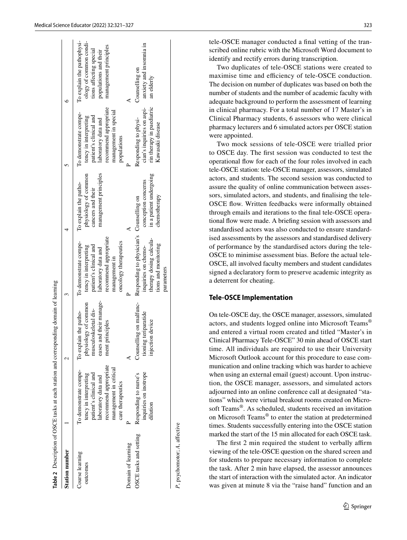| <b>Station number</b>                        |                                                                                                                                                                         |                                                                                                                       |                                                                                                                                                                    |                                                                                             |                                                                                                                                                                  |                                                                                                                                   |
|----------------------------------------------|-------------------------------------------------------------------------------------------------------------------------------------------------------------------------|-----------------------------------------------------------------------------------------------------------------------|--------------------------------------------------------------------------------------------------------------------------------------------------------------------|---------------------------------------------------------------------------------------------|------------------------------------------------------------------------------------------------------------------------------------------------------------------|-----------------------------------------------------------------------------------------------------------------------------------|
| Course learning<br>outcomes                  | recommend appropriate<br>management in critical<br>To demonstrate compe-<br>patient's clinical and<br>tency in interpreting<br>laboratory data and<br>care therapeutics | eases and their manage-<br>physiology of common<br>musculoskeletal dis-<br>To explain the patho-<br>principles<br>men | recommend appropriate<br>To demonstrate compe-<br>oncology therapeutics<br>patient's clinical and<br>tency in interpreting<br>laboratory data and<br>management in | management principles<br>physiology of common<br>To explain the patho-<br>cancers and their | recommend appropriate<br>management in special<br>To demonstrate compe-<br>patient's clinical and<br>tency in interpreting<br>laboratory data and<br>populations | To explain the pathophysi-<br>ology of common condi-<br>management principles<br>tions affecting special<br>populations and their |
| OSCE tasks and setting<br>Domain of learning | inquiries on inotrope<br>Responding to nurse's<br>dilution                                                                                                              | Counselling on malfunc-<br>tioning teriparatide<br>injection device                                                   | Responding to physician's Counselling on<br>therapy dosing calcula-<br>tions and monitoring<br>inquiries on chemo-<br>parameters                                   | in a patient undergoing<br>conception concerns<br>chemotherapy                              | rin therapy in paediatric<br>cian's inquiries on aspi-<br>Responding to physi-<br>Kawasaki disease                                                               | anxiety and insomnia in<br>Counselling on<br>an elderly                                                                           |
| P, psychomotor; A, affective                 |                                                                                                                                                                         |                                                                                                                       |                                                                                                                                                                    |                                                                                             |                                                                                                                                                                  |                                                                                                                                   |

<span id="page-2-0"></span>**Table 2**

Description of OSCE tasks at each station and corresponding domain of learning

tele-OSCE manager conducted a fnal vetting of the transcribed online rubric with the Microsoft Word document to identify and rectify errors during transcription.

Two duplicates of tele-OSCE stations were created to maximise time and efficiency of tele-OSCE conduction. The decision on number of duplicates was based on both the number of students and the number of academic faculty with adequate background to perform the assessment of learning in clinical pharmacy. For a total number of 17 Master's in Clinical Pharmacy students, 6 assessors who were clinical pharmacy lecturers and 6 simulated actors per OSCE station were appointed.

Two mock sessions of tele-OSCE were trialled prior to OSCE day. The frst session was conducted to test the operational fow for each of the four roles involved in each tele-OSCE station: tele-OSCE manager, assessors, simulated actors, and students. The second session was conducted to assure the quality of online communication between assessors, simulated actors, and students, and fnalising the tele-OSCE flow. Written feedbacks were informally obtained through emails and iterations to the fnal tele-OSCE operational fow were made. A briefng session with assessors and standardised actors was also conducted to ensure standardised assessments by the assessors and standardised delivery of performance by the standardised actors during the tele-OSCE to minimise assessment bias. Before the actual tele-OSCE, all involved faculty members and student candidates signed a declaratory form to preserve academic integrity as a deterrent for cheating.

## **Tele‑OSCE Implementation**

On tele-OSCE day, the OSCE manager, assessors, simulated actors, and students logged online into Microsoft Teams® and entered a virtual room created and titled "Master's in Clinical Pharmacy Tele-OSCE" 30 min ahead of OSCE start time. All individuals are required to use their University Microsoft Outlook account for this procedure to ease communication and online tracking which was harder to achieve when using an external email (guest) account. Upon instruction, the OSCE manager, assessors, and simulated actors adjourned into an online conference call at designated "stations" which were virtual breakout rooms created on Microsoft Teams®. As scheduled, students received an invitation on Microsoft Teams® to enter the station at predetermined times. Students successfully entering into the OSCE station marked the start of the 15 min allocated for each OSCE task.

The first 2 min required the student to verbally affirm viewing of the tele-OSCE question on the shared screen and for students to prepare necessary information to complete the task. After 2 min have elapsed, the assessor announces the start of interaction with the simulated actor. An indicator was given at minute 8 via the "raise hand" function and an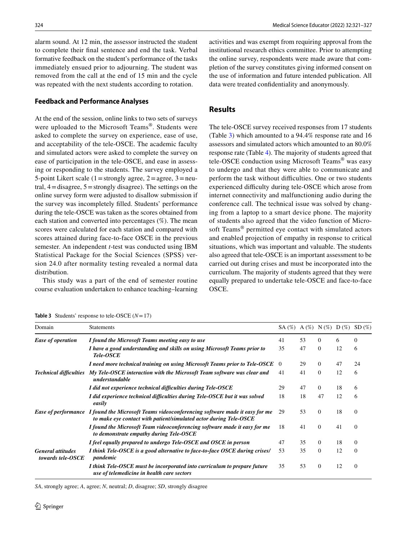alarm sound. At 12 min, the assessor instructed the student to complete their fnal sentence and end the task. Verbal formative feedback on the student's performance of the tasks immediately ensued prior to adjourning. The student was removed from the call at the end of 15 min and the cycle was repeated with the next students according to rotation.

#### **Feedback and Performance Analyses**

At the end of the session, online links to two sets of surveys were uploaded to the Microsoft Teams®. Students were asked to complete the survey on experience, ease of use, and acceptability of the tele-OSCE. The academic faculty and simulated actors were asked to complete the survey on ease of participation in the tele-OSCE, and ease in assessing or responding to the students. The survey employed a 5-point Likert scale (1 = strongly agree,  $2 =$  agree,  $3 =$  neutral,  $4 =$ disagree,  $5 =$ strongly disagree). The settings on the online survey form were adjusted to disallow submission if the survey was incompletely flled. Students' performance during the tele-OSCE was taken as the scores obtained from each station and converted into percentages (%). The mean scores were calculated for each station and compared with scores attained during face-to-face OSCE in the previous semester. An independent *t*-test was conducted using IBM Statistical Package for the Social Sciences (SPSS) version 24.0 after normality testing revealed a normal data distribution.

This study was a part of the end of semester routine course evaluation undertaken to enhance teaching–learning

324 Medical Science Educator (2022) 32:321–327

activities and was exempt from requiring approval from the institutional research ethics committee. Prior to attempting the online survey, respondents were made aware that completion of the survey constitutes giving informed consent on the use of information and future intended publication. All data were treated confdentiality and anonymously.

## **Results**

The tele-OSCE survey received responses from 17 students (Table [3\)](#page-3-0) which amounted to a 94.4% response rate and 16 assessors and simulated actors which amounted to an 80.0% response rate (Table [4](#page-4-0)). The majority of students agreed that tele-OSCE conduction using Microsoft Teams® was easy to undergo and that they were able to communicate and perform the task without difficulties. One or two students experienced difficulty during tele-OSCE which arose from internet connectivity and malfunctioning audio during the conference call. The technical issue was solved by changing from a laptop to a smart device phone. The majority of students also agreed that the video function of Microsoft Teams® permitted eye contact with simulated actors and enabled projection of empathy in response to critical situations, which was important and valuable. The students also agreed that tele-OSCE is an important assessment to be carried out during crises and must be incorporated into the curriculum. The majority of students agreed that they were equally prepared to undertake tele-OSCE and face-to-face OSCE.

<span id="page-3-0"></span>**Table 3** Students' response to tele-OSCE  $(N=17)$ 

| Domain                                        | <b>Statements</b>                                                                                                                                                                                                                                                                                                                                                                                                                                                                                                                                                                                                                                                                                                                                                                                                                                         |          |    |                                                                                |                                                    | SD(%)        |
|-----------------------------------------------|-----------------------------------------------------------------------------------------------------------------------------------------------------------------------------------------------------------------------------------------------------------------------------------------------------------------------------------------------------------------------------------------------------------------------------------------------------------------------------------------------------------------------------------------------------------------------------------------------------------------------------------------------------------------------------------------------------------------------------------------------------------------------------------------------------------------------------------------------------------|----------|----|--------------------------------------------------------------------------------|----------------------------------------------------|--------------|
| <b>Ease of operation</b>                      | I found the Microsoft Teams meeting easy to use                                                                                                                                                                                                                                                                                                                                                                                                                                                                                                                                                                                                                                                                                                                                                                                                           | 41       | 53 | $\Omega$                                                                       | 6                                                  | $\Omega$     |
|                                               | I have a good understanding and skills on using Microsoft Teams prior to<br>Tele-OSCE                                                                                                                                                                                                                                                                                                                                                                                                                                                                                                                                                                                                                                                                                                                                                                     | 35       | 47 | $\Omega$                                                                       | 12                                                 | 6            |
|                                               |                                                                                                                                                                                                                                                                                                                                                                                                                                                                                                                                                                                                                                                                                                                                                                                                                                                           | $\theta$ | 29 | $\Omega$                                                                       | 47<br>12<br>18<br>12<br>18<br>41<br>18<br>12<br>12 | 24           |
| <b>Technical difficulties</b>                 | My Tele-OSCE interaction with the Microsoft Team software was clear and<br>understandable                                                                                                                                                                                                                                                                                                                                                                                                                                                                                                                                                                                                                                                                                                                                                                 | 41       | 41 | $\Omega$<br>$\Omega$<br>47<br>$\Omega$<br>$\Omega$<br>$\Omega$<br>$\mathbf{0}$ |                                                    | 6            |
|                                               | $SA (\%) A (\%) N (\%) D (\%)$<br>I need more technical training on using Microsoft Teams prior to Tele-OSCE<br>47<br>I did not experience technical difficulties during Tele-OSCE<br>29<br>18<br>I did experience technical difficulties during Tele-OSCE but it was solved<br>18<br>easily<br>53<br>29<br>to make eye contact with patient/simulated actor during Tele-OSCE<br>I found the Microsoft Team videoconferencing software made it easy for me<br>18<br>41<br>to demonstrate empathy during Tele-OSCE<br>I feel equally prepared to undergo Tele-OSCE and OSCE in person<br>47<br>35<br>$\Omega$<br>35<br>I think Tele-OSCE is a good alternative to face-to-face OSCE during crises/<br>53<br>pandemic<br>35<br>53<br>I think Tele-OSCE must be incorporated into curriculum to prepare future<br>use of telemedicine in health care sectors |          | 6  |                                                                                |                                                    |              |
| <b>General attitudes</b><br>towards tele-OSCE |                                                                                                                                                                                                                                                                                                                                                                                                                                                                                                                                                                                                                                                                                                                                                                                                                                                           |          |    |                                                                                |                                                    | 6            |
|                                               |                                                                                                                                                                                                                                                                                                                                                                                                                                                                                                                                                                                                                                                                                                                                                                                                                                                           |          |    |                                                                                |                                                    | $\Omega$     |
|                                               | Ease of performance I found the Microsoft Teams videoconferencing software made it easy for me                                                                                                                                                                                                                                                                                                                                                                                                                                                                                                                                                                                                                                                                                                                                                            |          |    |                                                                                |                                                    | $\Omega$     |
|                                               |                                                                                                                                                                                                                                                                                                                                                                                                                                                                                                                                                                                                                                                                                                                                                                                                                                                           |          |    | $\Omega$                                                                       |                                                    |              |
|                                               |                                                                                                                                                                                                                                                                                                                                                                                                                                                                                                                                                                                                                                                                                                                                                                                                                                                           |          |    |                                                                                |                                                    | $\Omega$     |
|                                               |                                                                                                                                                                                                                                                                                                                                                                                                                                                                                                                                                                                                                                                                                                                                                                                                                                                           |          |    |                                                                                |                                                    | $\mathbf{0}$ |

*SA*, strongly agree; *A*, agree; *N*, neutral; *D*, disagree; *SD*, strongly disagree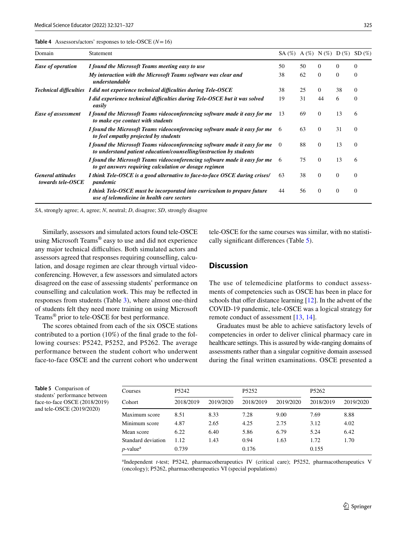<span id="page-4-0"></span>**Table 4** Assessors/actors' responses to tele-OSCE (*N*=16)

| Domain                                                              | Statement                                                                                                                                                                                                                                                                                                                                                                                                        | $SA (\%) A (\%) N (\%) D (\%) SD (\%)$ |    |          |          |          |
|---------------------------------------------------------------------|------------------------------------------------------------------------------------------------------------------------------------------------------------------------------------------------------------------------------------------------------------------------------------------------------------------------------------------------------------------------------------------------------------------|----------------------------------------|----|----------|----------|----------|
| <b>Ease of operation</b>                                            | I found the Microsoft Teams meeting easy to use                                                                                                                                                                                                                                                                                                                                                                  | 50                                     | 50 | $\theta$ | 0        | $\Omega$ |
|                                                                     | My interaction with the Microsoft Teams software was clear and<br>understandable                                                                                                                                                                                                                                                                                                                                 | 38                                     | 62 | $\Omega$ | $\Omega$ | $\Omega$ |
|                                                                     | Technical difficulties I did not experience technical difficulties during Tele-OSCE                                                                                                                                                                                                                                                                                                                              | 38                                     | 25 | $\theta$ | 38       | $\theta$ |
| Ease of assessment<br><b>General attitudes</b><br>towards tele-OSCE | I did experience technical difficulties during Tele-OSCE but it was solved<br>easily                                                                                                                                                                                                                                                                                                                             | 19                                     | 31 | 44       | 6        | $\theta$ |
|                                                                     | I found the Microsoft Teams videoconferencing software made it easy for me<br>to make eye contact with students                                                                                                                                                                                                                                                                                                  | 13                                     | 69 | $\theta$ | 13       | 6        |
|                                                                     | I found the Microsoft Teams videoconferencing software made it easy for me<br>to feel empathy projected by students<br>I found the Microsoft Teams videoconferencing software made it easy for me<br>to understand patient education/counselling/instruction by students<br>I found the Microsoft Teams videoconferencing software made it easy for me<br>to get answers requiring calculation or dosage regimen | -6                                     | 63 | $\Omega$ | 31       | $\theta$ |
|                                                                     |                                                                                                                                                                                                                                                                                                                                                                                                                  | $\Omega$                               | 88 | $\Omega$ | 13       | $\Omega$ |
|                                                                     |                                                                                                                                                                                                                                                                                                                                                                                                                  | -6                                     | 75 | $\Omega$ | 13       | 6        |
|                                                                     | I think Tele-OSCE is a good alternative to face-to-face OSCE during crises/<br>pandemic                                                                                                                                                                                                                                                                                                                          | 63                                     | 38 | $\Omega$ | $\theta$ | $\Omega$ |
|                                                                     | I think Tele-OSCE must be incorporated into curriculum to prepare future<br>use of telemedicine in health care sectors                                                                                                                                                                                                                                                                                           | 44                                     | 56 | $\theta$ | $\theta$ | $\theta$ |

*SA*, strongly agree; *A*, agree; *N*, neutral; *D*, disagree; *SD*, strongly disagree

Similarly, assessors and simulated actors found tele-OSCE using Microsoft Teams® easy to use and did not experience any major technical difficulties. Both simulated actors and assessors agreed that responses requiring counselling, calculation, and dosage regimen are clear through virtual videoconferencing. However, a few assessors and simulated actors disagreed on the ease of assessing students' performance on counselling and calculation work. This may be refected in responses from students (Table [3\)](#page-3-0), where almost one-third of students felt they need more training on using Microsoft Teams® prior to tele-OSCE for best performance.

The scores obtained from each of the six OSCE stations contributed to a portion (10%) of the fnal grade to the following courses: P5242, P5252, and P5262. The average performance between the student cohort who underwent face-to-face OSCE and the current cohort who underwent

tele-OSCE for the same courses was similar, with no statistically signifcant diferences (Table [5\)](#page-4-1).

## **Discussion**

The use of telemedicine platforms to conduct assessments of competencies such as OSCE has been in place for schools that offer distance learning  $[12]$  $[12]$ . In the advent of the COVID-19 pandemic, tele-OSCE was a logical strategy for remote conduct of assessment [[13,](#page-6-12) [14\]](#page-6-13).

Graduates must be able to achieve satisfactory levels of competencies in order to deliver clinical pharmacy care in healthcare settings. This is assured by wide-ranging domains of assessments rather than a singular cognitive domain assessed during the final written examinations. OSCE presented a

<span id="page-4-1"></span>**Table 5** Comparison of students' performance between face-to-face OSCE (2018/2019) and tele-OSCE (2019/2020)

| Courses                 | P5242     |           | P <sub>5252</sub> |           | P <sub>5262</sub> |           |
|-------------------------|-----------|-----------|-------------------|-----------|-------------------|-----------|
| Cohort                  | 2018/2019 | 2019/2020 | 2018/2019         | 2019/2020 | 2018/2019         | 2019/2020 |
| Maximum score           | 8.51      | 8.33      | 7.28              | 9.00      | 7.69              | 8.88      |
| Minimum score           | 4.87      | 2.65      | 4.25              | 2.75      | 3.12              | 4.02      |
| Mean score              | 6.22      | 6.40      | 5.86              | 6.79      | 5.24              | 6.42      |
| Standard deviation      | 1.12      | 1.43      | 0.94              | 1.63      | 1.72              | 1.70      |
| $p$ -value <sup>a</sup> | 0.739     |           | 0.176             |           | 0.155             |           |

a Independent *t*-test; P5242, pharmacotherapeutics IV (critical care); P5252, pharmacotherapeutics V (oncology); P5262, pharmacotherapeutics VI (special populations)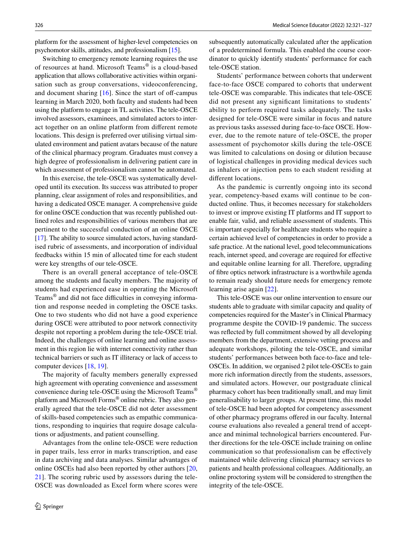platform for the assessment of higher-level competencies on psychomotor skills, attitudes, and professionalism [\[15](#page-6-14)].

Switching to emergency remote learning requires the use of resources at hand. Microsoft Teams® is a cloud-based application that allows collaborative activities within organisation such as group conversations, videoconferencing, and document sharing  $[16]$ . Since the start of off-campus learning in March 2020, both faculty and students had been using the platform to engage in TL activities. The tele-OSCE involved assessors, examinees, and simulated actors to interact together on an online platform from diferent remote locations. This design is preferred over utilising virtual simulated environment and patient avatars because of the nature of the clinical pharmacy program. Graduates must convey a high degree of professionalism in delivering patient care in which assessment of professionalism cannot be automated.

In this exercise, the tele-OSCE was systematically developed until its execution. Its success was attributed to proper planning, clear assignment of roles and responsibilities, and having a dedicated OSCE manager. A comprehensive guide for online OSCE conduction that was recently published outlined roles and responsibilities of various members that are pertinent to the successful conduction of an online OSCE [\[17](#page-6-16)]. The ability to source simulated actors, having standardised rubric of assessments, and incorporation of individual feedbacks within 15 min of allocated time for each student were key strengths of our tele-OSCE.

There is an overall general acceptance of tele-OSCE among the students and faculty members. The majority of students had experienced ease in operating the Microsoft Teams $^{\circledR}$  and did not face difficulties in conveying information and response needed in completing the OSCE tasks. One to two students who did not have a good experience during OSCE were attributed to poor network connectivity despite not reporting a problem during the tele-OSCE trial. Indeed, the challenges of online learning and online assessment in this region lie with internet connectivity rather than technical barriers or such as IT illiteracy or lack of access to computer devices [[18,](#page-6-17) [19\]](#page-6-18).

The majority of faculty members generally expressed high agreement with operating convenience and assessment convenience during tele-OSCE using the Microsoft Teams® platform and Microsoft Forms® online rubric. They also generally agreed that the tele-OSCE did not deter assessment of skills-based competencies such as empathic communications, responding to inquiries that require dosage calculations or adjustments, and patient counselling.

Advantages from the online tele-OSCE were reduction in paper trails, less error in marks transcription, and ease in data archiving and data analyses. Similar advantages of online OSCEs had also been reported by other authors [[20,](#page-6-19) [21](#page-6-20)]. The scoring rubric used by assessors during the tele-OSCE was downloaded as Excel form where scores were

subsequently automatically calculated after the application of a predetermined formula. This enabled the course coordinator to quickly identify students' performance for each tele-OSCE station.

Students' performance between cohorts that underwent face-to-face OSCE compared to cohorts that underwent tele-OSCE was comparable. This indicates that tele-OSCE did not present any signifcant limitations to students' ability to perform required tasks adequately. The tasks designed for tele-OSCE were similar in focus and nature as previous tasks assessed during face-to-face OSCE. However, due to the remote nature of tele-OSCE, the proper assessment of psychomotor skills during the tele-OSCE was limited to calculations on dosing or dilution because of logistical challenges in providing medical devices such as inhalers or injection pens to each student residing at diferent locations.

As the pandemic is currently ongoing into its second year, competency-based exams will continue to be conducted online. Thus, it becomes necessary for stakeholders to invest or improve existing IT platforms and IT support to enable fair, valid, and reliable assessment of students. This is important especially for healthcare students who require a certain achieved level of competencies in order to provide a safe practice. At the national level, good telecommunications reach, internet speed, and coverage are required for efective and equitable online learning for all. Therefore, upgrading of fbre optics network infrastructure is a worthwhile agenda to remain ready should future needs for emergency remote learning arise again [\[22](#page-6-21)].

This tele-OSCE was our online intervention to ensure our students able to graduate with similar capacity and quality of competencies required for the Master's in Clinical Pharmacy programme despite the COVID-19 pandemic. The success was refected by full commitment showed by all developing members from the department, extensive vetting process and adequate workshops, piloting the tele-OSCE, and similar students' performances between both face-to-face and tele-OSCEs. In addition, we organised 2 pilot tele-OSCEs to gain more rich information directly from the students, assessors, and simulated actors. However, our postgraduate clinical pharmacy cohort has been traditionally small, and may limit generalisability to larger groups. At present time, this model of tele-OSCE had been adopted for competency assessment of other pharmacy programs ofered in our faculty. Internal course evaluations also revealed a general trend of acceptance and minimal technological barriers encountered. Further directions for the tele-OSCE include training on online communication so that professionalism can be efectively maintained while delivering clinical pharmacy services to patients and health professional colleagues. Additionally, an online proctoring system will be considered to strengthen the integrity of the tele-OSCE.